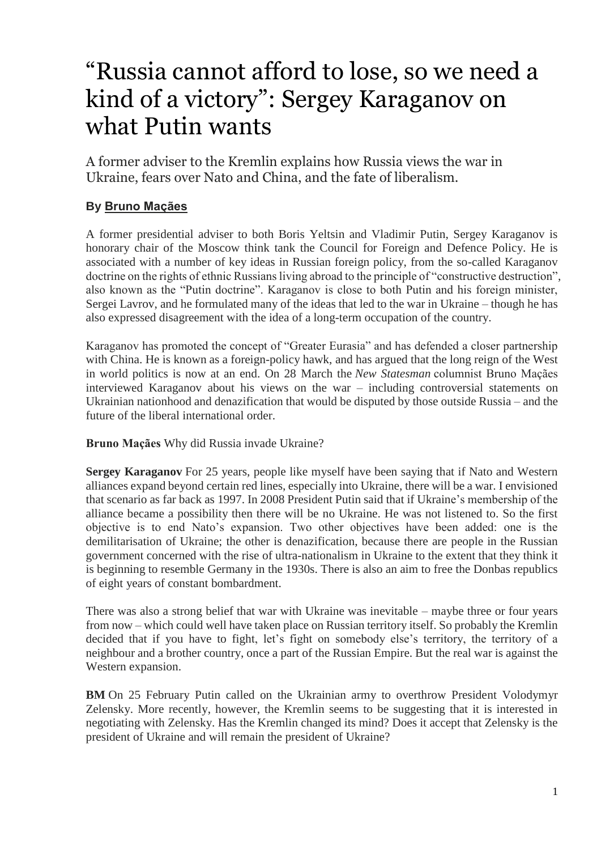# "Russia cannot afford to lose, so we need a kind of a victory": Sergey Karaganov on what Putin wants

A former adviser to the Kremlin explains how Russia views the war in Ukraine, fears over Nato and China, and the fate of liberalism.

## **By [Bruno Maçães](https://www.newstatesman.com/author/bruno-maaaes)**

A former presidential adviser to both Boris Yeltsin and Vladimir Putin, Sergey Karaganov is honorary chair of the Moscow think tank the Council for Foreign and Defence Policy. He is associated with a number of key ideas in Russian foreign policy, from the so-called Karaganov doctrine on the rights of ethnic Russians living abroad to the principle of "constructive destruction", also known as the "Putin doctrine". Karaganov is close to both Putin and his foreign minister, Sergei Lavrov, and he formulated many of the ideas that led to the war in Ukraine – though he has also expressed disagreement with the idea of a long-term occupation of the country.

Karaganov has promoted the concept of "Greater Eurasia" and has defended a closer partnership with China. He is known as a foreign-policy hawk, and has argued that the long reign of the West in world politics is now at an end. On 28 March the *New Statesman* columnist Bruno Maçães interviewed Karaganov about his views on the war – including controversial statements on Ukrainian nationhood and denazification that would be disputed by those outside Russia – and the future of the liberal international order.

**Bruno Maçães** Why did Russia invade Ukraine?

**Sergey Karaganov** For 25 years, people like myself have been saying that if Nato and Western alliances expand beyond certain red lines, especially into Ukraine, there will be a war. I envisioned that scenario as far back as 1997. In 2008 President Putin said that if Ukraine's membership of the alliance became a possibility then there will be no Ukraine. He was not listened to. So the first objective is to end Nato's expansion. Two other objectives have been added: one is the demilitarisation of Ukraine; the other is denazification, because there are people in the Russian government concerned with the rise of ultra-nationalism in Ukraine to the extent that they think it is beginning to resemble Germany in the 1930s. There is also an aim to free the Donbas republics of eight years of constant bombardment.

There was also a strong belief that war with Ukraine was inevitable – maybe three or four years from now – which could well have taken place on Russian territory itself. So probably the Kremlin decided that if you have to fight, let's fight on somebody else's territory, the territory of a neighbour and a brother country, once a part of the Russian Empire. But the real war is against the Western expansion.

**BM** On 25 February Putin called on the Ukrainian army to overthrow President Volodymyr Zelensky. More recently, however, the Kremlin seems to be suggesting that it is interested in negotiating with Zelensky. Has the Kremlin changed its mind? Does it accept that Zelensky is the president of Ukraine and will remain the president of Ukraine?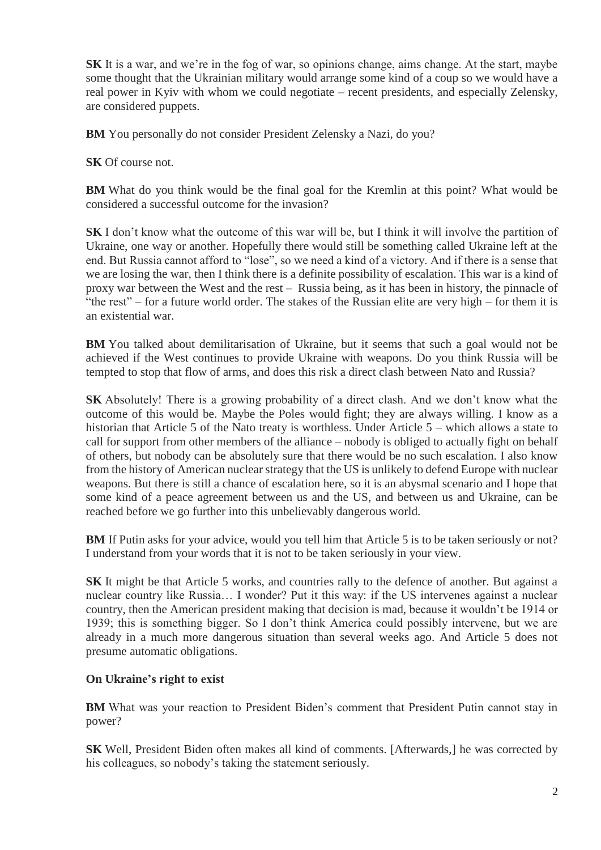**SK** It is a war, and we're in the fog of war, so opinions change, aims change. At the start, maybe some thought that the Ukrainian military would arrange some kind of a coup so we would have a real power in Kyiv with whom we could negotiate – recent presidents, and especially Zelensky, are considered puppets.

**BM** You personally do not consider President Zelensky a Nazi, do you?

**SK** Of course not.

**BM** What do you think would be the final goal for the Kremlin at this point? What would be considered a successful outcome for the invasion?

**SK** I don't know what the outcome of this war will be, but I think it will involve the partition of Ukraine, one way or another. Hopefully there would still be something called Ukraine left at the end. But Russia cannot afford to "lose", so we need a kind of a victory. And if there is a sense that we are losing the war, then I think there is a definite possibility of escalation. This war is a kind of proxy war between the West and the rest – Russia being, as it has been in history, the pinnacle of "the rest" – for a future world order. The stakes of the Russian elite are very high – for them it is an existential war.

**BM** You talked about demilitarisation of Ukraine, but it seems that such a goal would not be achieved if the West continues to provide Ukraine with weapons. Do you think Russia will be tempted to stop that flow of arms, and does this risk a direct clash between Nato and Russia?

**SK** Absolutely! There is a growing probability of a direct clash. And we don't know what the outcome of this would be. Maybe the Poles would fight; they are always willing. I know as a historian that Article 5 of the Nato treaty is worthless. Under Article 5 – which allows a state to call for support from other members of the alliance – nobody is obliged to actually fight on behalf of others, but nobody can be absolutely sure that there would be no such escalation. I also know from the history of American nuclear strategy that the US is unlikely to defend Europe with nuclear weapons. But there is still a chance of escalation here, so it is an abysmal scenario and I hope that some kind of a peace agreement between us and the US, and between us and Ukraine, can be reached before we go further into this unbelievably dangerous world.

**BM** If Putin asks for your advice, would you tell him that Article 5 is to be taken seriously or not? I understand from your words that it is not to be taken seriously in your view.

**SK** It might be that Article 5 works, and countries rally to the defence of another. But against a nuclear country like Russia… I wonder? Put it this way: if the US intervenes against a nuclear country, then the American president making that decision is mad, because it wouldn't be 1914 or 1939; this is something bigger. So I don't think America could possibly intervene, but we are already in a much more dangerous situation than several weeks ago. And Article 5 does not presume automatic obligations.

### **On Ukraine's right to exist**

**BM** What was your reaction to President Biden's comment that President Putin cannot stay in power?

**SK** Well, President Biden often makes all kind of comments. [Afterwards,] he was corrected by his colleagues, so nobody's taking the statement seriously.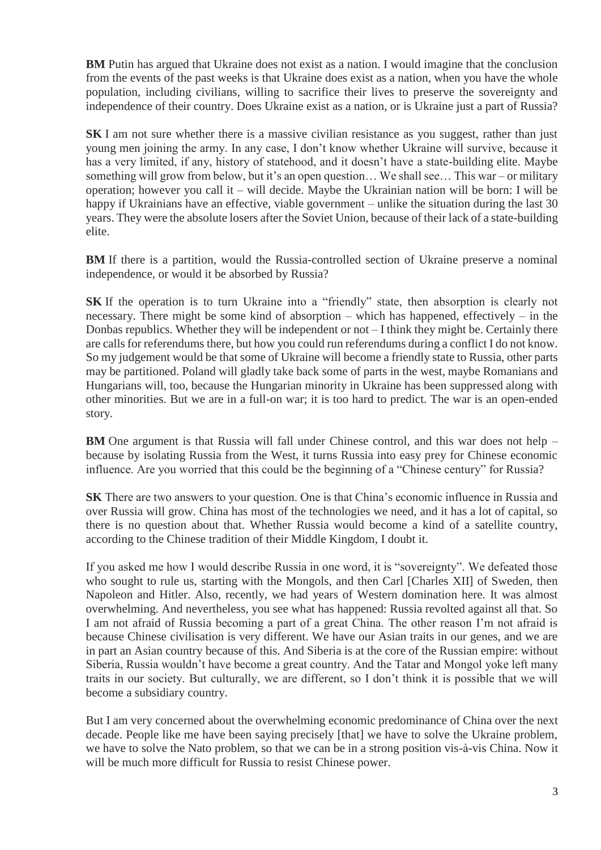**BM** Putin has argued that Ukraine does not exist as a nation. I would imagine that the conclusion from the events of the past weeks is that Ukraine does exist as a nation, when you have the whole population, including civilians, willing to sacrifice their lives to preserve the sovereignty and independence of their country. Does Ukraine exist as a nation, or is Ukraine just a part of Russia?

**SK** I am not sure whether there is a massive civilian resistance as you suggest, rather than just young men joining the army. In any case, I don't know whether Ukraine will survive, because it has a very limited, if any, history of statehood, and it doesn't have a state-building elite. Maybe something will grow from below, but it's an open question… We shall see… This war – or military operation; however you call it – will decide. Maybe the Ukrainian nation will be born: I will be happy if Ukrainians have an effective, viable government – unlike the situation during the last 30 years. They were the absolute losers after the Soviet Union, because of their lack of a state-building elite.

**BM** If there is a partition, would the Russia-controlled section of Ukraine preserve a nominal independence, or would it be absorbed by Russia?

**SK** If the operation is to turn Ukraine into a "friendly" state, then absorption is clearly not necessary. There might be some kind of absorption – which has happened, effectively – in the Donbas republics. Whether they will be independent or not – I think they might be. Certainly there are calls for referendums there, but how you could run referendums during a conflict I do not know. So my judgement would be that some of Ukraine will become a friendly state to Russia, other parts may be partitioned. Poland will gladly take back some of parts in the west, maybe Romanians and Hungarians will, too, because the Hungarian minority in Ukraine has been suppressed along with other minorities. But we are in a full-on war; it is too hard to predict. The war is an open-ended story.

**BM** One argument is that Russia will fall under Chinese control, and this war does not help – because by isolating Russia from the West, it turns Russia into easy prey for Chinese economic influence. Are you worried that this could be the beginning of a "Chinese century" for Russia?

**SK** There are two answers to your question. One is that China's economic influence in Russia and over Russia will grow. China has most of the technologies we need, and it has a lot of capital, so there is no question about that. Whether Russia would become a kind of a satellite country, according to the Chinese tradition of their Middle Kingdom, I doubt it.

If you asked me how I would describe Russia in one word, it is "sovereignty". We defeated those who sought to rule us, starting with the Mongols, and then Carl [Charles XII] of Sweden, then Napoleon and Hitler. Also, recently, we had years of Western domination here. It was almost overwhelming. And nevertheless, you see what has happened: Russia revolted against all that. So I am not afraid of Russia becoming a part of a great China. The other reason I'm not afraid is because Chinese civilisation is very different. We have our Asian traits in our genes, and we are in part an Asian country because of this. And Siberia is at the core of the Russian empire: without Siberia, Russia wouldn't have become a great country. And the Tatar and Mongol yoke left many traits in our society. But culturally, we are different, so I don't think it is possible that we will become a subsidiary country.

But I am very concerned about the overwhelming economic predominance of China over the next decade. People like me have been saying precisely [that] we have to solve the Ukraine problem, we have to solve the Nato problem, so that we can be in a strong position vis-à-vis China. Now it will be much more difficult for Russia to resist Chinese power.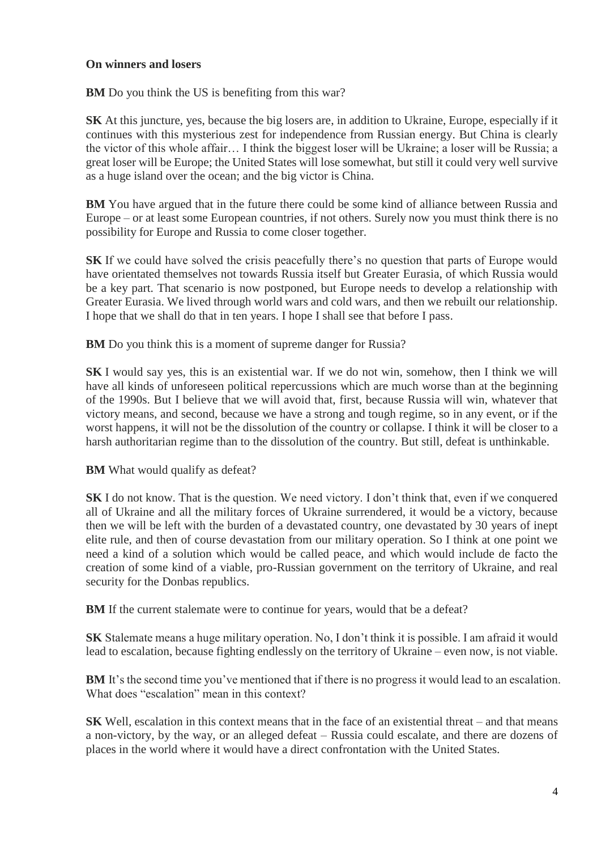#### **On winners and losers**

**BM** Do you think the US is benefiting from this war?

**SK** At this juncture, yes, because the big losers are, in addition to Ukraine, Europe, especially if it continues with this mysterious zest for independence from Russian energy. But China is clearly the victor of this whole affair… I think the biggest loser will be Ukraine; a loser will be Russia; a great loser will be Europe; the United States will lose somewhat, but still it could very well survive as a huge island over the ocean; and the big victor is China.

**BM** You have argued that in the future there could be some kind of alliance between Russia and Europe – or at least some European countries, if not others. Surely now you must think there is no possibility for Europe and Russia to come closer together.

**SK** If we could have solved the crisis peacefully there's no question that parts of Europe would have orientated themselves not towards Russia itself but Greater Eurasia, of which Russia would be a key part. That scenario is now postponed, but Europe needs to develop a relationship with Greater Eurasia. We lived through world wars and cold wars, and then we rebuilt our relationship. I hope that we shall do that in ten years. I hope I shall see that before I pass.

**BM** Do you think this is a moment of supreme danger for Russia?

**SK** I would say yes, this is an existential war. If we do not win, somehow, then I think we will have all kinds of unforeseen political repercussions which are much worse than at the beginning of the 1990s. But I believe that we will avoid that, first, because Russia will win, whatever that victory means, and second, because we have a strong and tough regime, so in any event, or if the worst happens, it will not be the dissolution of the country or collapse. I think it will be closer to a harsh authoritarian regime than to the dissolution of the country. But still, defeat is unthinkable.

**BM** What would qualify as defeat?

**SK** I do not know. That is the question. We need victory. I don't think that, even if we conquered all of Ukraine and all the military forces of Ukraine surrendered, it would be a victory, because then we will be left with the burden of a devastated country, one devastated by 30 years of inept elite rule, and then of course devastation from our military operation. So I think at one point we need a kind of a solution which would be called peace, and which would include de facto the creation of some kind of a viable, pro-Russian government on the territory of Ukraine, and real security for the Donbas republics.

**BM** If the current stalemate were to continue for years, would that be a defeat?

**SK** Stalemate means a huge military operation. No, I don't think it is possible. I am afraid it would lead to escalation, because fighting endlessly on the territory of Ukraine – even now, is not viable.

**BM** It's the second time you've mentioned that if there is no progress it would lead to an escalation. What does "escalation" mean in this context?

**SK** Well, escalation in this context means that in the face of an existential threat – and that means a non-victory, by the way, or an alleged defeat – Russia could escalate, and there are dozens of places in the world where it would have a direct confrontation with the United States.